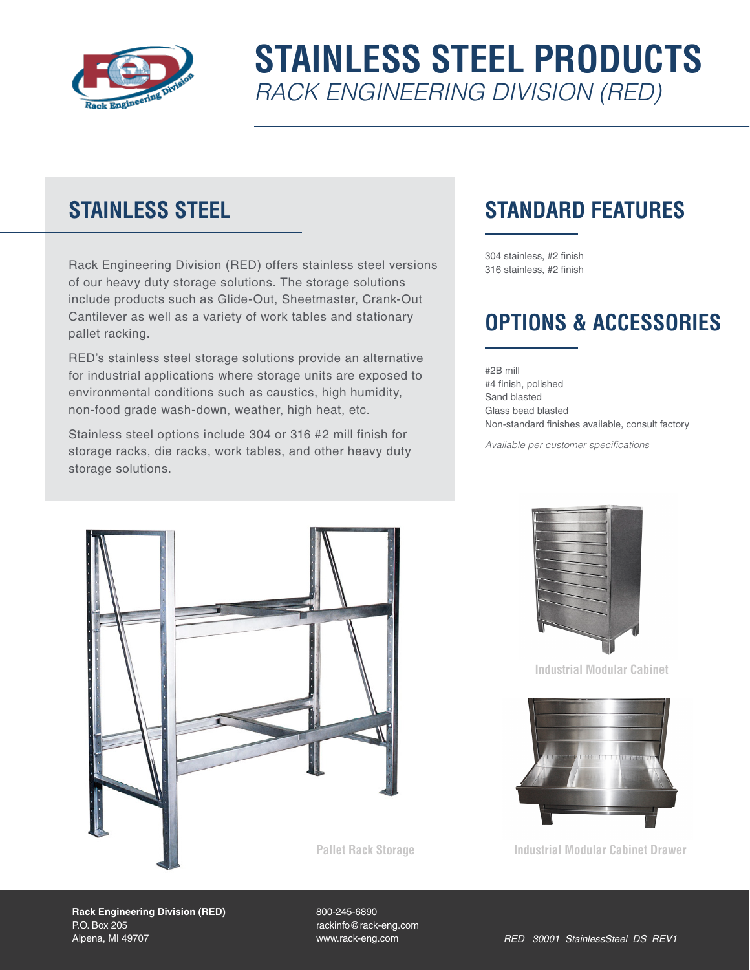

# **STAINLESS STEEL PRODUCTS** *RACK ENGINEERING DIVISION (RED)*

### **STAINLESS STEEL**

Rack Engineering Division (RED) offers stainless steel versions of our heavy duty storage solutions. The storage solutions include products such as Glide-Out, Sheetmaster, Crank-Out Cantilever as well as a variety of work tables and stationary pallet racking.

RED's stainless steel storage solutions provide an alternative for industrial applications where storage units are exposed to environmental conditions such as caustics, high humidity, non-food grade wash-down, weather, high heat, etc.

Stainless steel options include 304 or 316 #2 mill finish for storage racks, die racks, work tables, and other heavy duty storage solutions.

## **STANDARD FEATURES**

304 stainless, #2 finish 316 stainless, #2 finish

### **OPTIONS & ACCESSORIES**

#2B mill #4 finish, polished Sand blasted Glass bead blasted Non-standard finishes available, consult factory

*Available per customer specifications*





**Industrial Modular Cabinet** 



**Industrial Modular Cabinet Drawer**

**Rack Engineering Division (RED)** P.O. Box 205 Alpena, MI 49707

800-245-6890 rackinfo@rack-eng.com